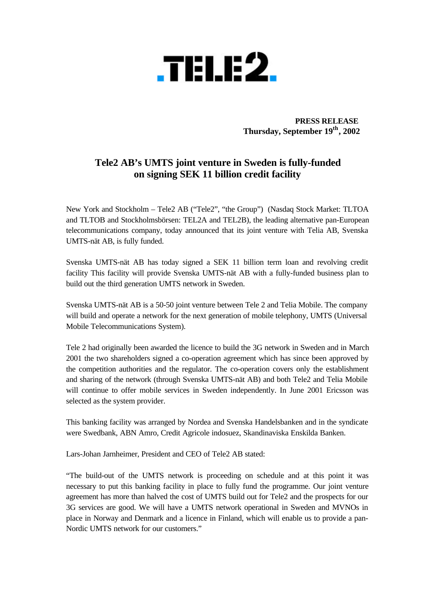

 **PRESS RELEASE Thursday, September 19th, 2002**

## **Tele2 AB's UMTS joint venture in Sweden is fully-funded on signing SEK 11 billion credit facility**

New York and Stockholm – Tele2 AB ("Tele2", "the Group") (Nasdaq Stock Market: TLTOA and TLTOB and Stockholmsbörsen: TEL2A and TEL2B), the leading alternative pan-European telecommunications company, today announced that its joint venture with Telia AB, Svenska UMTS-nät AB, is fully funded.

Svenska UMTS-nät AB has today signed a SEK 11 billion term loan and revolving credit facility This facility will provide Svenska UMTS-nät AB with a fully-funded business plan to build out the third generation UMTS network in Sweden.

Svenska UMTS-nät AB is a 50-50 joint venture between Tele 2 and Telia Mobile. The company will build and operate a network for the next generation of mobile telephony, UMTS (Universal Mobile Telecommunications System).

Tele 2 had originally been awarded the licence to build the 3G network in Sweden and in March 2001 the two shareholders signed a co-operation agreement which has since been approved by the competition authorities and the regulator. The co-operation covers only the establishment and sharing of the network (through Svenska UMTS-nät AB) and both Tele2 and Telia Mobile will continue to offer mobile services in Sweden independently. In June 2001 Ericsson was selected as the system provider.

This banking facility was arranged by Nordea and Svenska Handelsbanken and in the syndicate were Swedbank, ABN Amro, Credit Agricole indosuez, Skandinaviska Enskilda Banken.

Lars-Johan Jarnheimer, President and CEO of Tele2 AB stated:

"The build-out of the UMTS network is proceeding on schedule and at this point it was necessary to put this banking facility in place to fully fund the programme. Our joint venture agreement has more than halved the cost of UMTS build out for Tele2 and the prospects for our 3G services are good. We will have a UMTS network operational in Sweden and MVNOs in place in Norway and Denmark and a licence in Finland, which will enable us to provide a pan-Nordic UMTS network for our customers."